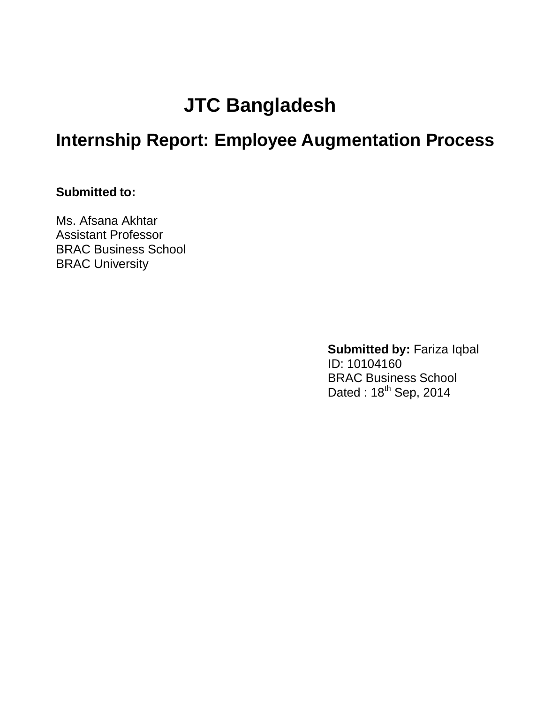# **JTC Bangladesh**

# **Internship Report: Employee Augmentation Process**

### **Submitted to:**

Ms. Afsana Akhtar Assistant Professor BRAC Business School BRAC University

> **Submitted by: Fariza Iqbal** ID: 10104160 BRAC Business School Dated : 18<sup>th</sup> Sep, 2014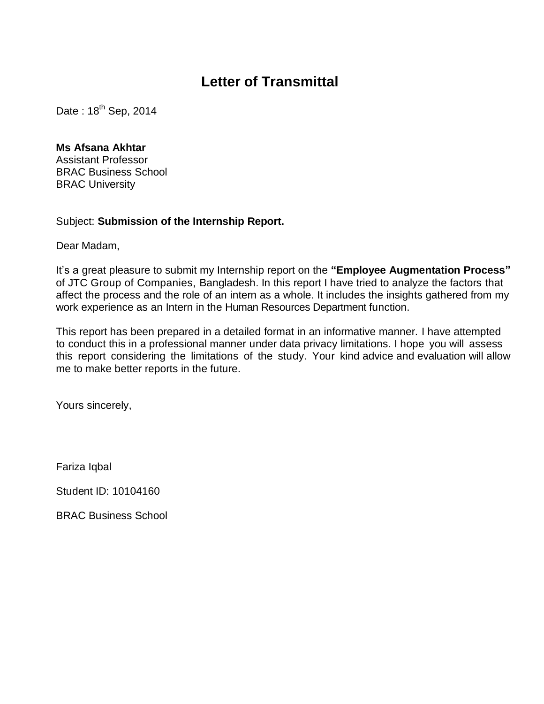# **Letter of Transmittal**

Date:  $18^{th}$  Sep, 2014

#### **Ms Afsana Akhtar**

Assistant Professor BRAC Business School BRAC University

#### Subject: **Submission of the Internship Report.**

Dear Madam,

It"s a great pleasure to submit my Internship report on the **"Employee Augmentation Process"**  of JTC Group of Companies, Bangladesh. In this report I have tried to analyze the factors that affect the process and the role of an intern as a whole. It includes the insights gathered from my work experience as an Intern in the Human Resources Department function.

This report has been prepared in a detailed format in an informative manner. I have attempted to conduct this in a professional manner under data privacy limitations. I hope you will assess this report considering the limitations of the study. Your kind advice and evaluation will allow me to make better reports in the future.

Yours sincerely,

Fariza Iqbal

Student ID: 10104160

BRAC Business School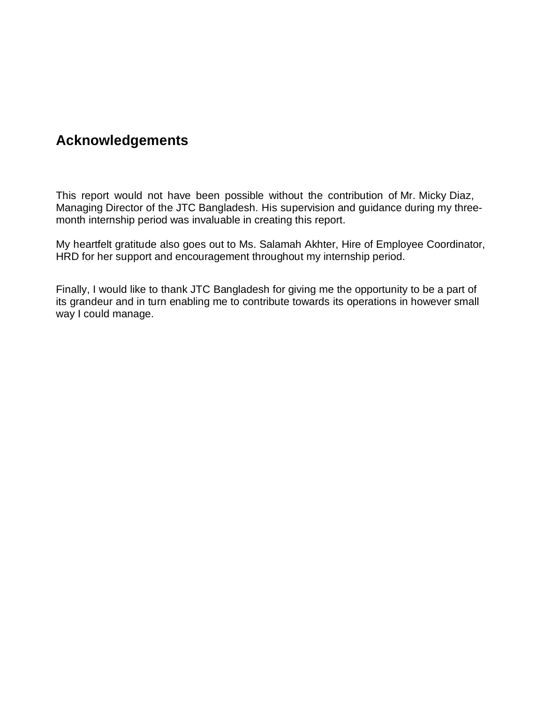# **Acknowledgements**

This report would not have been possible without the contribution of Mr. Micky Diaz, Managing Director of the JTC Bangladesh. His supervision and guidance during my threemonth internship period was invaluable in creating this report.

My heartfelt gratitude also goes out to Ms. Salamah Akhter, Hire of Employee Coordinator, HRD for her support and encouragement throughout my internship period.

Finally, I would like to thank JTC Bangladesh for giving me the opportunity to be a part of its grandeur and in turn enabling me to contribute towards its operations in however small way I could manage.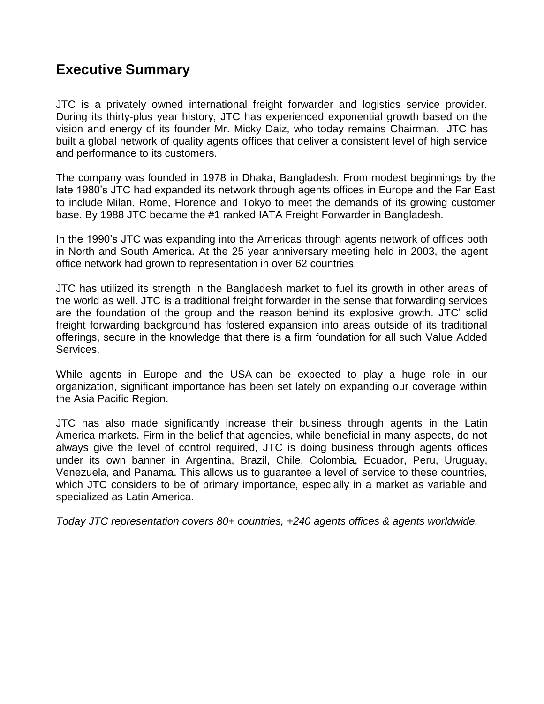# **Executive Summary**

JTC is a privately owned international freight forwarder and logistics service provider. During its thirty-plus year history, JTC has experienced exponential growth based on the vision and energy of its founder Mr. Micky Daiz, who today remains Chairman. JTC has built a global network of quality agents offices that deliver a consistent level of high service and performance to its customers.

The company was founded in 1978 in Dhaka, Bangladesh. From modest beginnings by the late 1980's JTC had expanded its network through agents offices in Europe and the Far East to include Milan, Rome, Florence and Tokyo to meet the demands of its growing customer base. By 1988 JTC became the #1 ranked IATA Freight Forwarder in Bangladesh.

In the 1990's JTC was expanding into the Americas through agents network of offices both in North and South America. At the 25 year anniversary meeting held in 2003, the agent office network had grown to representation in over 62 countries.

JTC has utilized its strength in the Bangladesh market to fuel its growth in other areas of the world as well. JTC is a traditional freight forwarder in the sense that forwarding services are the foundation of the group and the reason behind its explosive growth. JTC" solid freight forwarding background has fostered expansion into areas outside of its traditional offerings, secure in the knowledge that there is a firm foundation for all such Value Added Services.

While agents in Europe and the USA can be expected to play a huge role in our organization, significant importance has been set lately on expanding our coverage within the Asia Pacific Region.

JTC has also made significantly increase their business through agents in the Latin America markets. Firm in the belief that agencies, while beneficial in many aspects, do not always give the level of control required, JTC is doing business through agents offices under its own banner in Argentina, Brazil, Chile, Colombia, Ecuador, Peru, Uruguay, Venezuela, and Panama. This allows us to guarantee a level of service to these countries, which JTC considers to be of primary importance, especially in a market as variable and specialized as Latin America.

*Today JTC representation covers 80+ countries, +240 agents offices & agents worldwide.*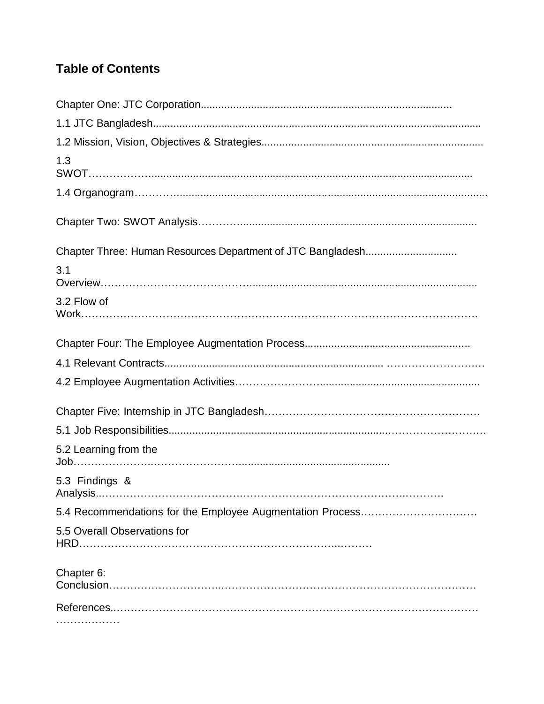# **Table of Contents**

| 1.3                                                       |
|-----------------------------------------------------------|
|                                                           |
|                                                           |
|                                                           |
| 3.1                                                       |
| 3.2 Flow of                                               |
|                                                           |
|                                                           |
|                                                           |
|                                                           |
|                                                           |
| 5.2 Learning from the                                     |
| 5.3 Findings &                                            |
| 5.4 Recommendations for the Employee Augmentation Process |
| 5.5 Overall Observations for                              |
| Chapter 6:                                                |
|                                                           |
|                                                           |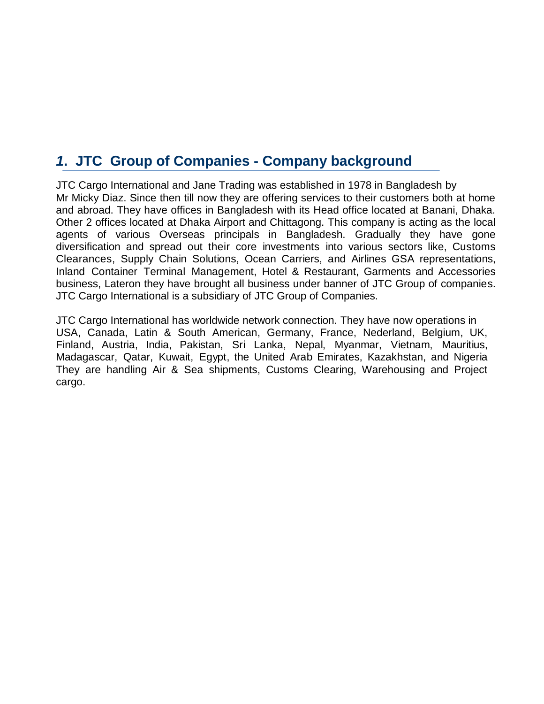# *1***. JTC Group of Companies - Company background**

JTC Cargo International and Jane Trading was established in 1978 in Bangladesh by Mr Micky Diaz. Since then till now they are offering services to their customers both at home and abroad. They have offices in Bangladesh with its Head office located at Banani, Dhaka. Other 2 offices located at Dhaka Airport and Chittagong. This company is acting as the local agents of various Overseas principals in Bangladesh. Gradually they have gone diversification and spread out their core investments into various sectors like, Customs Clearances, Supply Chain Solutions, Ocean Carriers, and Airlines GSA representations, Inland Container Terminal Management, Hotel & Restaurant, Garments and Accessories business, Lateron they have brought all business under banner of JTC Group of companies. JTC Cargo International is a subsidiary of JTC Group of Companies.

JTC Cargo International has worldwide network connection. They have now operations in USA, Canada, Latin & South American, Germany, France, Nederland, Belgium, UK, Finland, Austria, India, Pakistan, Sri Lanka, Nepal, Myanmar, Vietnam, Mauritius, Madagascar, Qatar, Kuwait, Egypt, the United Arab Emirates, Kazakhstan, and Nigeria They are handling Air & Sea shipments, Customs Clearing, Warehousing and Project cargo.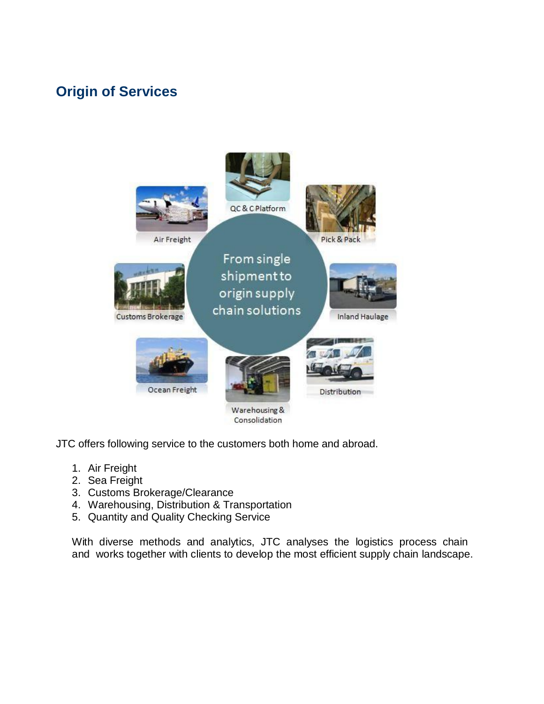# **Origin of Services**



JTC offers following service to the customers both home and abroad.

- 1. Air Freight
- 2. Sea Freight
- 3. Customs Brokerage/Clearance
- 4. Warehousing, Distribution & Transportation
- 5. Quantity and Quality Checking Service

With diverse methods and analytics, JTC analyses the logistics process chain and works together with clients to develop the most efficient supply chain landscape.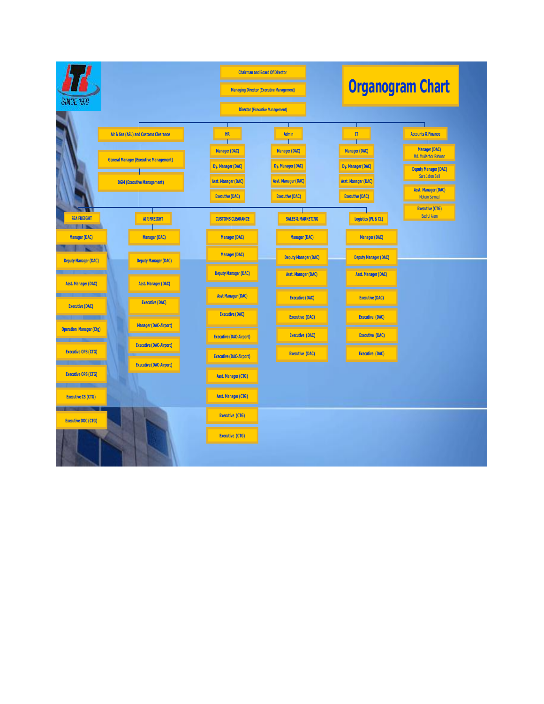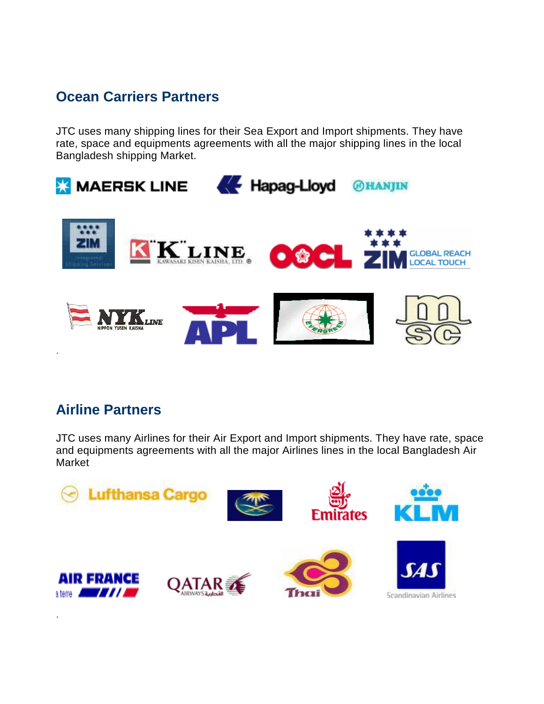# **Ocean Carriers Partners**

JTC uses many shipping lines for their Sea Export and Import shipments. They have rate, space and equipments agreements with all the major shipping lines in the local Bangladesh shipping Market.



# **Airline Partners**

JTC uses many Airlines for their Air Export and Import shipments. They have rate, space and equipments agreements with all the major Airlines lines in the local Bangladesh Air Market

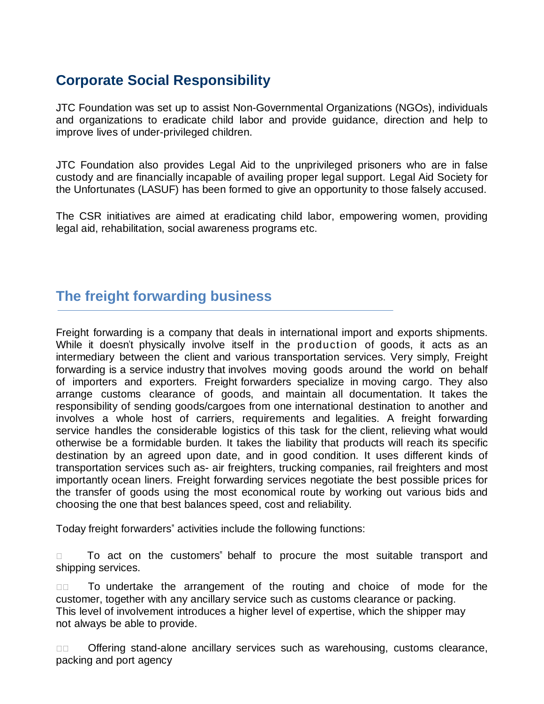# **Corporate Social Responsibility**

JTC Foundation was set up to assist Non-Governmental Organizations (NGOs), individuals and organizations to eradicate child labor and provide guidance, direction and help to improve lives of under-privileged children.

JTC Foundation also provides Legal Aid to the unprivileged prisoners who are in false custody and are financially incapable of availing proper legal support. Legal Aid Society for the Unfortunates (LASUF) has been formed to give an opportunity to those falsely accused.

The CSR initiatives are aimed at eradicating child labor, empowering women, providing legal aid, rehabilitation, social awareness programs etc.

# **The freight forwarding business**

Freight forwarding is a company that deals in international import and exports shipments. While it doesn't physically involve itself in the production of goods, it acts as an intermediary between the client and various transportation services. Very simply, Freight forwarding is a service industry that involves moving goods around the world on behalf of importers and exporters. Freight forwarders specialize in moving cargo. They also arrange customs clearance of goods, and maintain all documentation. It takes the responsibility of sending goods/cargoes from one international destination to another and involves a whole host of carriers, requirements and legalities. A freight forwarding service handles the considerable logistics of this task for the client, relieving what would otherwise be a formidable burden. It takes the liability that products will reach its specific destination by an agreed upon date, and in good condition. It uses different kinds of transportation services such as- air freighters, trucking companies, rail freighters and most importantly ocean liners. Freight forwarding services negotiate the best possible prices for the transfer of goods using the most economical route by working out various bids and choosing the one that best balances speed, cost and reliability.

Today freight forwarders" activities include the following functions:

 To act on the customers" behalf to procure the most suitable transport and shipping services.

 $\Box$  To undertake the arrangement of the routing and choice of mode for the customer, together with any ancillary service such as customs clearance or packing. This level of involvement introduces a higher level of expertise, which the shipper may not always be able to provide.

□□ Offering stand-alone ancillary services such as warehousing, customs clearance, packing and port agency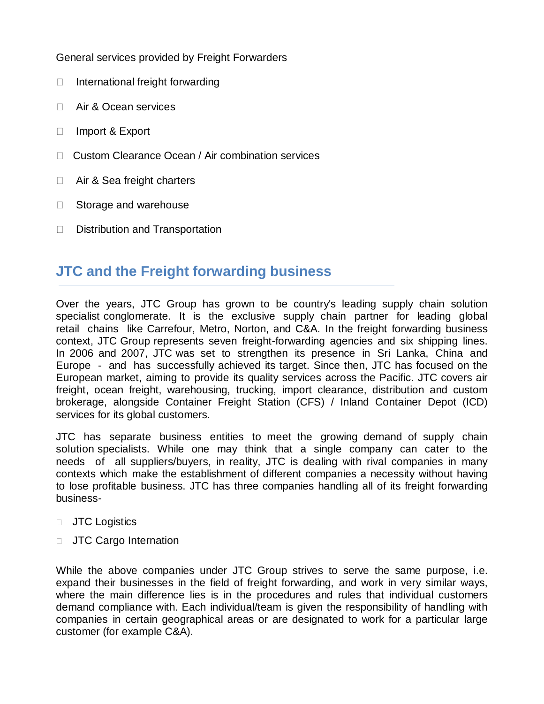General services provided by Freight Forwarders

- $\Box$  International freight forwarding
- □ Air & Ocean services
- □ Import & Export
- □ Custom Clearance Ocean / Air combination services
- □ Air & Sea freight charters
- □ Storage and warehouse
- □ Distribution and Transportation

# **JTC and the Freight forwarding business**

Over the years, JTC Group has grown to be country's leading supply chain solution specialist conglomerate. It is the exclusive supply chain partner for leading global retail chains like Carrefour, Metro, Norton, and C&A. In the freight forwarding business context, JTC Group represents seven freight-forwarding agencies and six shipping lines. In 2006 and 2007, JTC was set to strengthen its presence in Sri Lanka, China and Europe - and has successfully achieved its target. Since then, JTC has focused on the European market, aiming to provide its quality services across the Pacific. JTC covers air freight, ocean freight, warehousing, trucking, import clearance, distribution and custom brokerage, alongside Container Freight Station (CFS) / Inland Container Depot (ICD) services for its global customers.

JTC has separate business entities to meet the growing demand of supply chain solution specialists. While one may think that a single company can cater to the needs of all suppliers/buyers, in reality, JTC is dealing with rival companies in many contexts which make the establishment of different companies a necessity without having to lose profitable business. JTC has three companies handling all of its freight forwarding business-

- **JTC** Logistics
- **JTC Cargo Internation**

While the above companies under JTC Group strives to serve the same purpose, i.e. expand their businesses in the field of freight forwarding, and work in very similar ways, where the main difference lies is in the procedures and rules that individual customers demand compliance with. Each individual/team is given the responsibility of handling with companies in certain geographical areas or are designated to work for a particular large customer (for example C&A).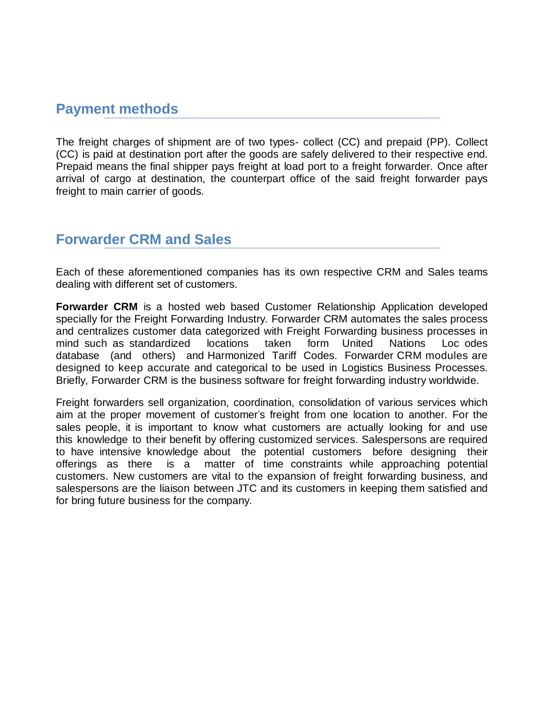# **Payment methods**

The freight charges of shipment are of two types- collect (CC) and prepaid (PP). Collect (CC) is paid at destination port after the goods are safely delivered to their respective end. Prepaid means the final shipper pays freight at load port to a freight forwarder. Once after arrival of cargo at destination, the counterpart office of the said freight forwarder pays freight to main carrier of goods.

### **Forwarder CRM and Sales**

Each of these aforementioned companies has its own respective CRM and Sales teams dealing with different set of customers.

**Forwarder CRM** is a hosted web based Customer Relationship Application developed specially for the Freight Forwarding Industry. Forwarder CRM automates the sales process and centralizes customer data categorized with Freight Forwarding business processes in mind such as standardized locations taken form United Nations Loc odes database (and others) and Harmonized Tariff Codes. Forwarder CRM modules are designed to keep accurate and categorical to be used in Logistics Business Processes. Briefly, Forwarder CRM is the business software for freight forwarding industry worldwide.

Freight forwarders sell organization, coordination, consolidation of various services which aim at the proper movement of customer's freight from one location to another. For the sales people, it is important to know what customers are actually looking for and use this knowledge to their benefit by offering customized services. Salespersons are required to have intensive knowledge about the potential customers before designing their offerings as there is a matter of time constraints while approaching potential customers. New customers are vital to the expansion of freight forwarding business, and salespersons are the liaison between JTC and its customers in keeping them satisfied and for bring future business for the company.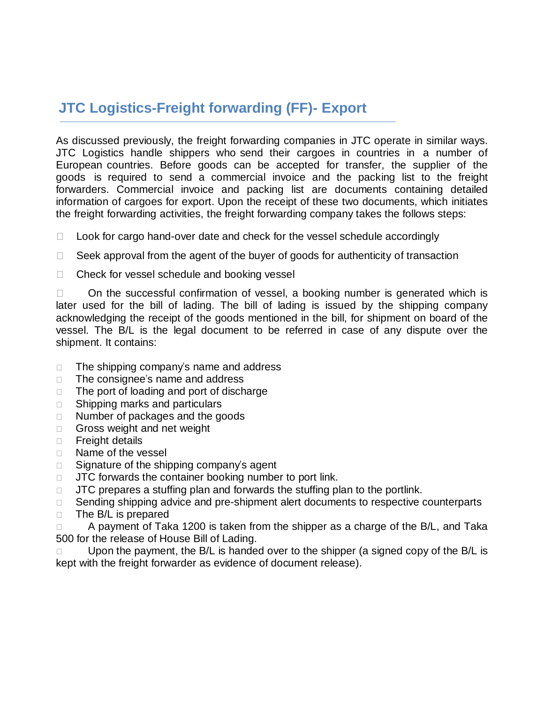# **JTC Logistics-Freight forwarding (FF)- Export**

As discussed previously, the freight forwarding companies in JTC operate in similar ways. JTC Logistics handle shippers who send their cargoes in countries in a number of European countries. Before goods can be accepted for transfer, the supplier of the goods is required to send a commercial invoice and the packing list to the freight forwarders. Commercial invoice and packing list are documents containing detailed information of cargoes for export. Upon the receipt of these two documents, which initiates the freight forwarding activities, the freight forwarding company takes the follows steps:

- $\Box$  Look for cargo hand-over date and check for the vessel schedule accordingly
- $\Box$  Seek approval from the agent of the buyer of goods for authenticity of transaction
- $\Box$  Check for vessel schedule and booking vessel

 $\Box$  On the successful confirmation of vessel, a booking number is generated which is later used for the bill of lading. The bill of lading is issued by the shipping company acknowledging the receipt of the goods mentioned in the bill, for shipment on board of the vessel. The B/L is the legal document to be referred in case of any dispute over the shipment. It contains:

- $\Box$  The shipping company's name and address
- $\Box$  The consignee's name and address
- $\Box$  The port of loading and port of discharge
- □ Shipping marks and particulars
- □ Number of packages and the goods
- Gross weight and net weight
- **Freight details**
- □ Name of the vessel
- $\Box$  Signature of the shipping company's agent
- $\Box$  JTC forwards the container booking number to port link.
- $\Box$  JTC prepares a stuffing plan and forwards the stuffing plan to the portlink.
- □ Sending shipping advice and pre-shipment alert documents to respective counterparts
- $\Box$  The B/L is prepared

 $\Box$  A payment of Taka 1200 is taken from the shipper as a charge of the B/L, and Taka 500 for the release of House Bill of Lading.

 Upon the payment, the B/L is handed over to the shipper (a signed copy of the B/L is kept with the freight forwarder as evidence of document release).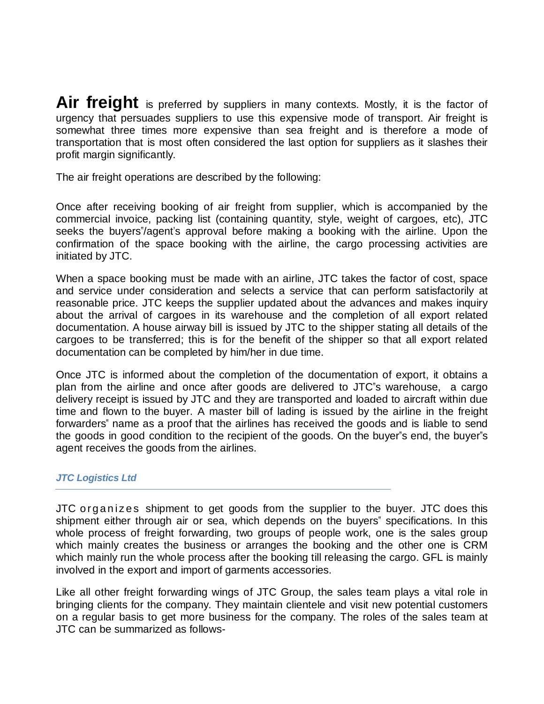Air freight is preferred by suppliers in many contexts. Mostly, it is the factor of urgency that persuades suppliers to use this expensive mode of transport. Air freight is somewhat three times more expensive than sea freight and is therefore a mode of transportation that is most often considered the last option for suppliers as it slashes their profit margin significantly.

The air freight operations are described by the following:

Once after receiving booking of air freight from supplier, which is accompanied by the commercial invoice, packing list (containing quantity, style, weight of cargoes, etc), JTC seeks the buyers<sup>"</sup>/agent's approval before making a booking with the airline. Upon the confirmation of the space booking with the airline, the cargo processing activities are initiated by JTC.

When a space booking must be made with an airline, JTC takes the factor of cost, space and service under consideration and selects a service that can perform satisfactorily at reasonable price. JTC keeps the supplier updated about the advances and makes inquiry about the arrival of cargoes in its warehouse and the completion of all export related documentation. A house airway bill is issued by JTC to the shipper stating all details of the cargoes to be transferred; this is for the benefit of the shipper so that all export related documentation can be completed by him/her in due time.

Once JTC is informed about the completion of the documentation of export, it obtains a plan from the airline and once after goods are delivered to JTC"s warehouse, a cargo delivery receipt is issued by JTC and they are transported and loaded to aircraft within due time and flown to the buyer. A master bill of lading is issued by the airline in the freight forwarders" name as a proof that the airlines has received the goods and is liable to send the goods in good condition to the recipient of the goods. On the buyer"s end, the buyer"s agent receives the goods from the airlines.

#### *JTC Logistics Ltd*

JTC organizes shipment to get goods from the supplier to the buyer. JTC does this shipment either through air or sea, which depends on the buyers" specifications. In this whole process of freight forwarding, two groups of people work, one is the sales group which mainly creates the business or arranges the booking and the other one is CRM which mainly run the whole process after the booking till releasing the cargo. GFL is mainly involved in the export and import of garments accessories.

Like all other freight forwarding wings of JTC Group, the sales team plays a vital role in bringing clients for the company. They maintain clientele and visit new potential customers on a regular basis to get more business for the company. The roles of the sales team at JTC can be summarized as follows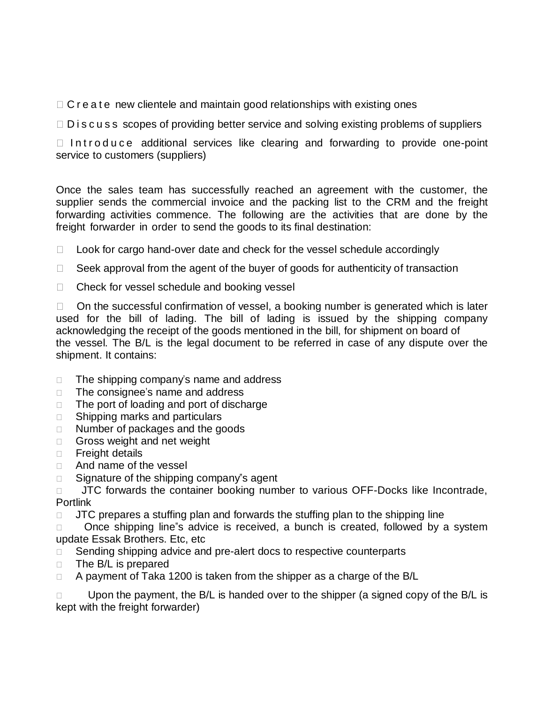$\Box$  C r e a t e new clientele and maintain good relationships with existing ones

 $\Box$  D i s c u s s scopes of providing better service and solving existing problems of suppliers

 $\Box$  Introduce additional services like clearing and forwarding to provide one-point service to customers (suppliers)

Once the sales team has successfully reached an agreement with the customer, the supplier sends the commercial invoice and the packing list to the CRM and the freight forwarding activities commence. The following are the activities that are done by the freight forwarder in order to send the goods to its final destination:

 $\Box$  Look for cargo hand-over date and check for the vessel schedule accordingly

- $\Box$  Seek approval from the agent of the buyer of goods for authenticity of transaction
- $\Box$  Check for vessel schedule and booking vessel

 $\Box$  On the successful confirmation of vessel, a booking number is generated which is later used for the bill of lading. The bill of lading is issued by the shipping company acknowledging the receipt of the goods mentioned in the bill, for shipment on board of the vessel. The B/L is the legal document to be referred in case of any dispute over the shipment. It contains:

- $\Box$  The shipping company's name and address
- $\Box$  The consignee's name and address
- $\Box$  The port of loading and port of discharge
- □ Shipping marks and particulars
- □ Number of packages and the goods
- Gross weight and net weight
- **Freight details**
- □ And name of the vessel
- □ Signature of the shipping company"s agent

 $\Box$  JTC forwards the container booking number to various OFF-Docks like Incontrade, Portlink

 $\Box$  JTC prepares a stuffing plan and forwards the stuffing plan to the shipping line

□ Once shipping line"s advice is received, a bunch is created, followed by a system update Essak Brothers. Etc, etc

□ Sending shipping advice and pre-alert docs to respective counterparts

- $\Box$  The B/L is prepared
- $\Box$  A payment of Taka 1200 is taken from the shipper as a charge of the B/L

 $\Box$  Upon the payment, the B/L is handed over to the shipper (a signed copy of the B/L is kept with the freight forwarder)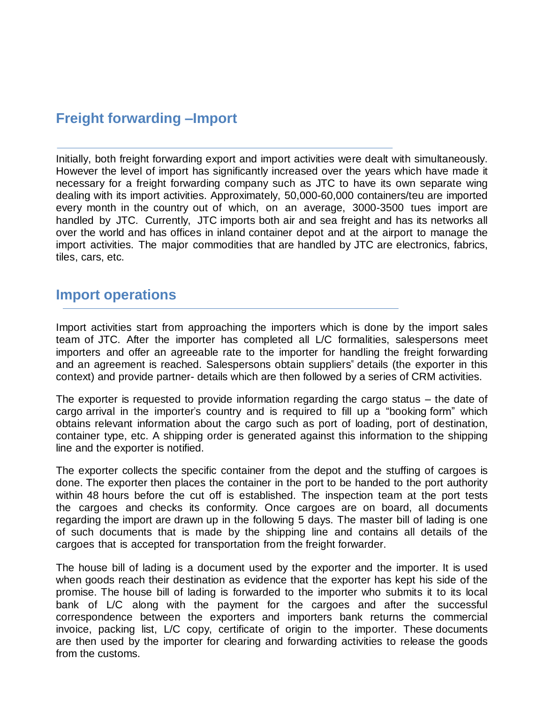# **Freight forwarding –Import**

Initially, both freight forwarding export and import activities were dealt with simultaneously. However the level of import has significantly increased over the years which have made it necessary for a freight forwarding company such as JTC to have its own separate wing dealing with its import activities. Approximately, 50,000-60,000 containers/teu are imported every month in the country out of which, on an average, 3000-3500 tues import are handled by JTC. Currently, JTC imports both air and sea freight and has its networks all over the world and has offices in inland container depot and at the airport to manage the import activities. The major commodities that are handled by JTC are electronics, fabrics, tiles, cars, etc.

### **Import operations**

Import activities start from approaching the importers which is done by the import sales team of JTC. After the importer has completed all L/C formalities, salespersons meet importers and offer an agreeable rate to the importer for handling the freight forwarding and an agreement is reached. Salespersons obtain suppliers" details (the exporter in this context) and provide partner- details which are then followed by a series of CRM activities.

The exporter is requested to provide information regarding the cargo status – the date of cargo arrival in the importer's country and is required to fill up a "booking form" which obtains relevant information about the cargo such as port of loading, port of destination, container type, etc. A shipping order is generated against this information to the shipping line and the exporter is notified.

The exporter collects the specific container from the depot and the stuffing of cargoes is done. The exporter then places the container in the port to be handed to the port authority within 48 hours before the cut off is established. The inspection team at the port tests the cargoes and checks its conformity. Once cargoes are on board, all documents regarding the import are drawn up in the following 5 days. The master bill of lading is one of such documents that is made by the shipping line and contains all details of the cargoes that is accepted for transportation from the freight forwarder.

The house bill of lading is a document used by the exporter and the importer. It is used when goods reach their destination as evidence that the exporter has kept his side of the promise. The house bill of lading is forwarded to the importer who submits it to its local bank of L/C along with the payment for the cargoes and after the successful correspondence between the exporters and importers bank returns the commercial invoice, packing list, L/C copy, certificate of origin to the importer. These documents are then used by the importer for clearing and forwarding activities to release the goods from the customs.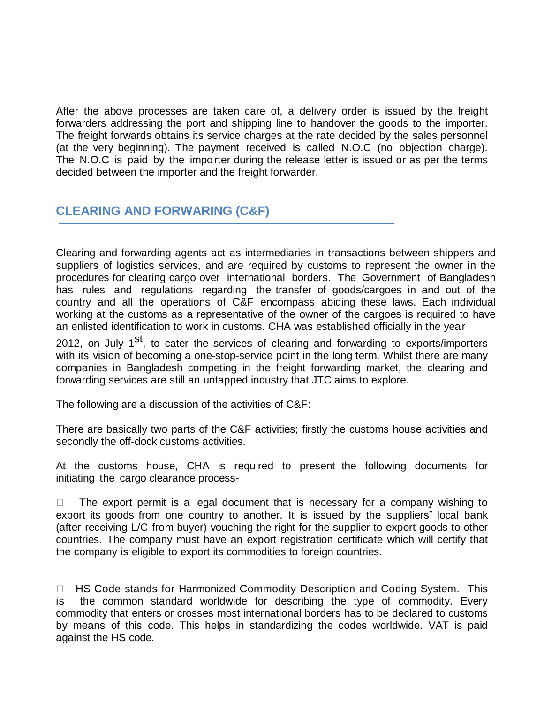After the above processes are taken care of, a delivery order is issued by the freight forwarders addressing the port and shipping line to handover the goods to the importer. The freight forwards obtains its service charges at the rate decided by the sales personnel (at the very beginning). The payment received is called N.O.C (no objection charge). The N.O.C is paid by the impo rter during the release letter is issued or as per the terms decided between the importer and the freight forwarder.

### **CLEARING AND FORWARING (C&F)**

Clearing and forwarding agents act as intermediaries in transactions between shippers and suppliers of logistics services, and are required by customs to represent the owner in the procedures for clearing cargo over international borders. The Government of Bangladesh has rules and regulations regarding the transfer of goods/cargoes in and out of the country and all the operations of C&F encompass abiding these laws. Each individual working at the customs as a representative of the owner of the cargoes is required to have an enlisted identification to work in customs. CHA was established officially in the year

2012, on July 1<sup>st</sup>, to cater the services of clearing and forwarding to exports/importers with its vision of becoming a one-stop-service point in the long term. Whilst there are many companies in Bangladesh competing in the freight forwarding market, the clearing and forwarding services are still an untapped industry that JTC aims to explore.

The following are a discussion of the activities of C&F:

There are basically two parts of the C&F activities; firstly the customs house activities and secondly the off-dock customs activities.

At the customs house, CHA is required to present the following documents for initiating the cargo clearance process-

 $\Box$  The export permit is a legal document that is necessary for a company wishing to export its goods from one country to another. It is issued by the suppliers" local bank (after receiving L/C from buyer) vouching the right for the supplier to export goods to other countries. The company must have an export registration certificate which will certify that the company is eligible to export its commodities to foreign countries.

□ HS Code stands for Harmonized Commodity Description and Coding System. This is the common standard worldwide for describing the type of commodity. Every commodity that enters or crosses most international borders has to be declared to customs by means of this code. This helps in standardizing the codes worldwide. VAT is paid against the HS code.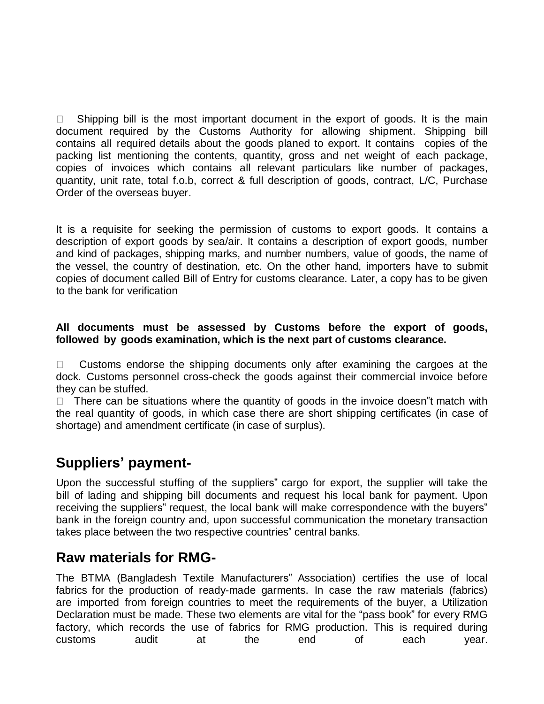$\Box$  Shipping bill is the most important document in the export of goods. It is the main document required by the Customs Authority for allowing shipment. Shipping bill contains all required details about the goods planed to export. It contains copies of the packing list mentioning the contents, quantity, gross and net weight of each package, copies of invoices which contains all relevant particulars like number of packages, quantity, unit rate, total f.o.b, correct & full description of goods, contract, L/C, Purchase Order of the overseas buyer.

It is a requisite for seeking the permission of customs to export goods. It contains a description of export goods by sea/air. It contains a description of export goods, number and kind of packages, shipping marks, and number numbers, value of goods, the name of the vessel, the country of destination, etc. On the other hand, importers have to submit copies of document called Bill of Entry for customs clearance. Later, a copy has to be given to the bank for verification

#### **All documents must be assessed by Customs before the export of goods, followed by goods examination, which is the next part of customs clearance.**

 $\Box$  Customs endorse the shipping documents only after examining the cargoes at the dock. Customs personnel cross-check the goods against their commercial invoice before they can be stuffed.

 $\Box$  There can be situations where the quantity of goods in the invoice doesn the match with the real quantity of goods, in which case there are short shipping certificates (in case of shortage) and amendment certificate (in case of surplus).

# **Suppliers' payment-**

Upon the successful stuffing of the suppliers" cargo for export, the supplier will take the bill of lading and shipping bill documents and request his local bank for payment. Upon receiving the suppliers" request, the local bank will make correspondence with the buyers" bank in the foreign country and, upon successful communication the monetary transaction takes place between the two respective countries" central banks.

# **Raw materials for RMG-**

The BTMA (Bangladesh Textile Manufacturers" Association) certifies the use of local fabrics for the production of ready-made garments. In case the raw materials (fabrics) are imported from foreign countries to meet the requirements of the buyer, a Utilization Declaration must be made. These two elements are vital for the "pass book" for every RMG factory, which records the use of fabrics for RMG production. This is required during customs audit at the end of each year.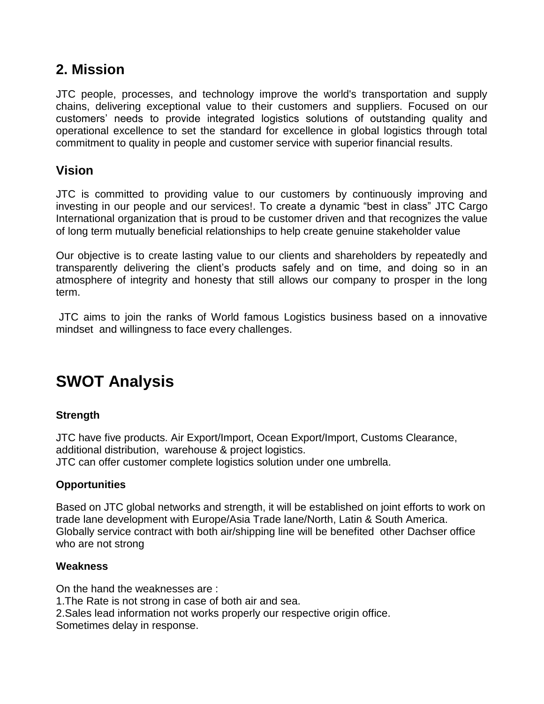# **2. Mission**

JTC people, processes, and technology improve the world's transportation and supply chains, delivering exceptional value to their customers and suppliers. Focused on our customers" needs to provide integrated logistics solutions of outstanding quality and operational excellence to set the standard for excellence in global logistics through total commitment to quality in people and customer service with superior financial results.

### **Vision**

JTC is committed to providing value to our customers by continuously improving and investing in our people and our services!. To create a dynamic "best in class" JTC Cargo International organization that is proud to be customer driven and that recognizes the value of long term mutually beneficial relationships to help create genuine stakeholder value

Our objective is to create lasting value to our clients and shareholders by repeatedly and transparently delivering the client"s products safely and on time, and doing so in an atmosphere of integrity and honesty that still allows our company to prosper in the long term.

JTC aims to join the ranks of World famous Logistics business based on a innovative mindset and willingness to face every challenges.

# **SWOT Analysis**

#### **Strength**

JTC have five products. Air Export/Import, Ocean Export/Import, Customs Clearance, additional distribution, warehouse & project logistics.

JTC can offer customer complete logistics solution under one umbrella.

#### **Opportunities**

Based on JTC global networks and strength, it will be established on joint efforts to work on trade lane development with Europe/Asia Trade lane/North, Latin & South America. Globally service contract with both air/shipping line will be benefited other Dachser office who are not strong

#### **Weakness**

On the hand the weaknesses are : 1.The Rate is not strong in case of both air and sea. 2.Sales lead information not works properly our respective origin office. Sometimes delay in response.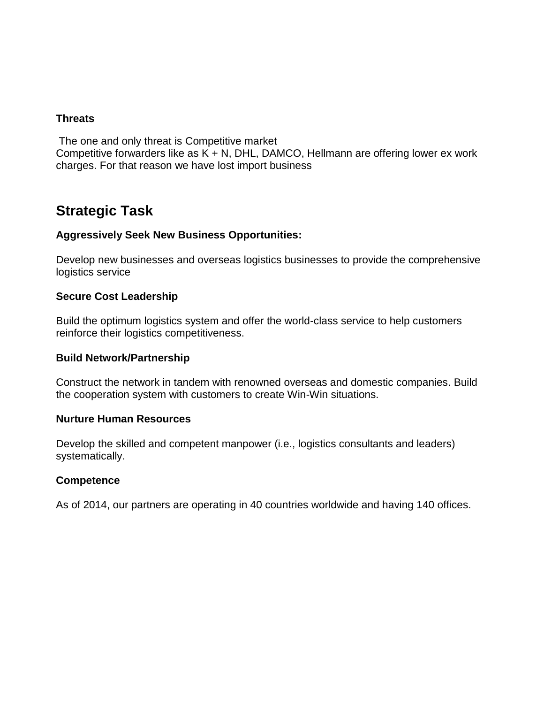#### **Threats**

The one and only threat is Competitive market

Competitive forwarders like as  $K + N$ , DHL, DAMCO, Hellmann are offering lower ex work charges. For that reason we have lost import business

# **Strategic Task**

#### **Aggressively Seek New Business Opportunities:**

Develop new businesses and overseas logistics businesses to provide the comprehensive logistics service

#### **Secure Cost Leadership**

Build the optimum logistics system and offer the world-class service to help customers reinforce their logistics competitiveness.

#### **Build Network/Partnership**

Construct the network in tandem with renowned overseas and domestic companies. Build the cooperation system with customers to create Win-Win situations.

#### **Nurture Human Resources**

Develop the skilled and competent manpower (i.e., logistics consultants and leaders) systematically.

#### **Competence**

As of 2014, our partners are operating in 40 countries worldwide and having 140 offices.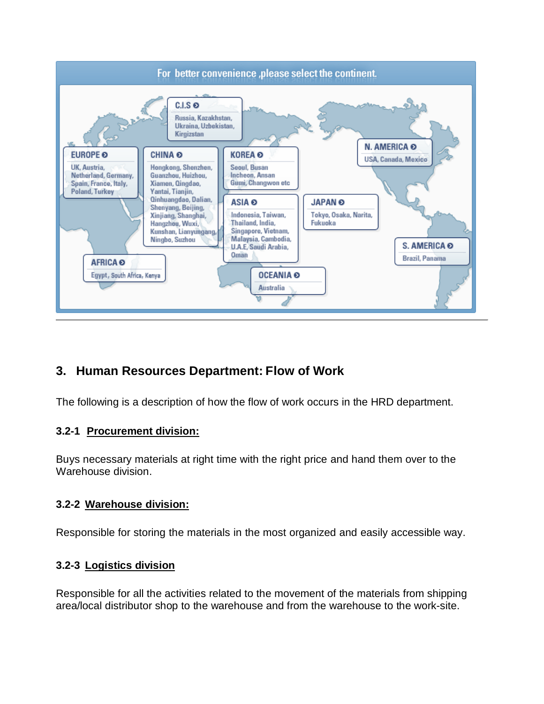

### **3. Human Resources Department: Flow of Work**

The following is a description of how the flow of work occurs in the HRD department.

#### **3.2-1 Procurement division:**

Buys necessary materials at right time with the right price and hand them over to the Warehouse division.

#### **3.2-2 Warehouse division:**

Responsible for storing the materials in the most organized and easily accessible way.

#### **3.2-3 Logistics division**

Responsible for all the activities related to the movement of the materials from shipping area/local distributor shop to the warehouse and from the warehouse to the work-site.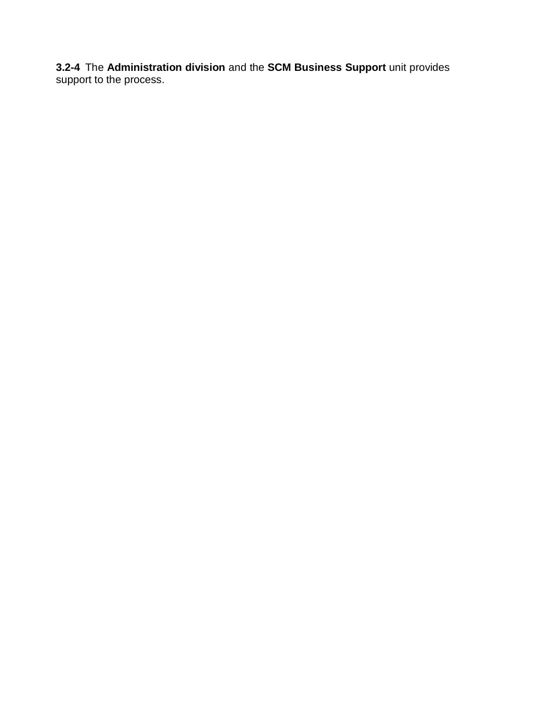**3.2-4** The **Administration division** and the **SCM Business Support** unit provides support to the process.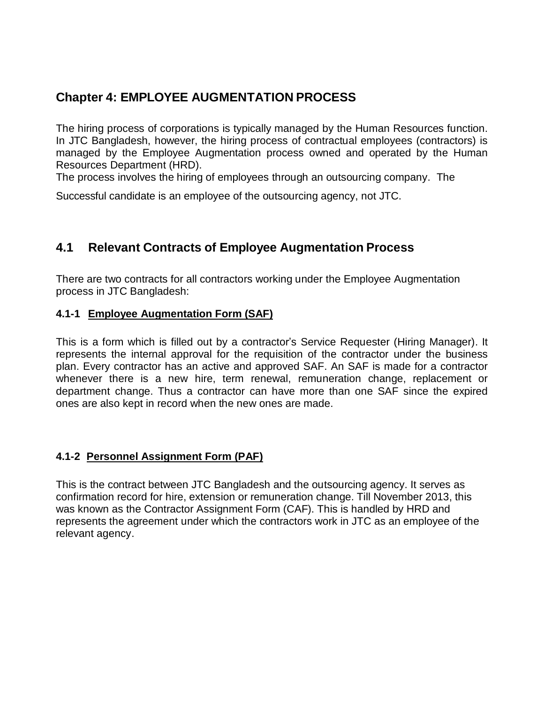### **Chapter 4: EMPLOYEE AUGMENTATION PROCESS**

The hiring process of corporations is typically managed by the Human Resources function. In JTC Bangladesh, however, the hiring process of contractual employees (contractors) is managed by the Employee Augmentation process owned and operated by the Human Resources Department (HRD).

The process involves the hiring of employees through an outsourcing company. The

Successful candidate is an employee of the outsourcing agency, not JTC.

### **4.1 Relevant Contracts of Employee Augmentation Process**

There are two contracts for all contractors working under the Employee Augmentation process in JTC Bangladesh:

#### **4.1-1 Employee Augmentation Form (SAF)**

This is a form which is filled out by a contractor"s Service Requester (Hiring Manager). It represents the internal approval for the requisition of the contractor under the business plan. Every contractor has an active and approved SAF. An SAF is made for a contractor whenever there is a new hire, term renewal, remuneration change, replacement or department change. Thus a contractor can have more than one SAF since the expired ones are also kept in record when the new ones are made.

### **4.1-2 Personnel Assignment Form (PAF)**

This is the contract between JTC Bangladesh and the outsourcing agency. It serves as confirmation record for hire, extension or remuneration change. Till November 2013, this was known as the Contractor Assignment Form (CAF). This is handled by HRD and represents the agreement under which the contractors work in JTC as an employee of the relevant agency.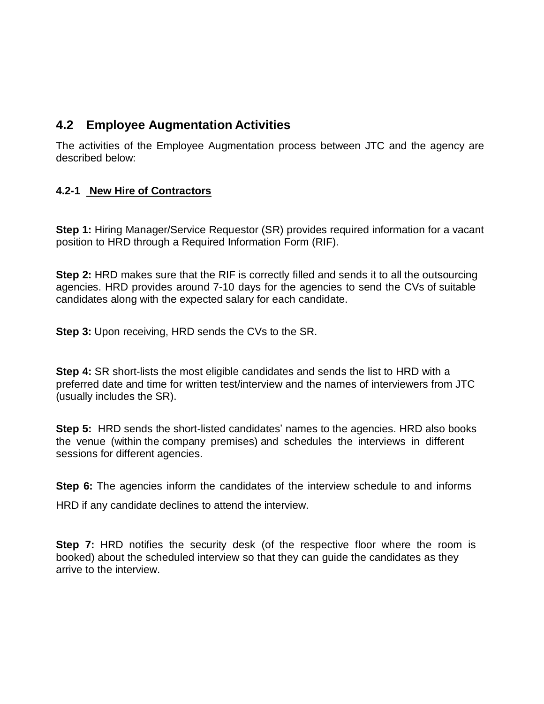### **4.2 Employee Augmentation Activities**

The activities of the Employee Augmentation process between JTC and the agency are described below:

#### **4.2-1 New Hire of Contractors**

**Step 1:** Hiring Manager/Service Requestor (SR) provides required information for a vacant position to HRD through a Required Information Form (RIF).

**Step 2:** HRD makes sure that the RIF is correctly filled and sends it to all the outsourcing agencies. HRD provides around 7-10 days for the agencies to send the CVs of suitable candidates along with the expected salary for each candidate.

**Step 3:** Upon receiving, HRD sends the CVs to the SR.

**Step 4:** SR short-lists the most eligible candidates and sends the list to HRD with a preferred date and time for written test/interview and the names of interviewers from JTC (usually includes the SR).

**Step 5:** HRD sends the short-listed candidates' names to the agencies. HRD also books the venue (within the company premises) and schedules the interviews in different sessions for different agencies.

**Step 6:** The agencies inform the candidates of the interview schedule to and informs HRD if any candidate declines to attend the interview.

**Step 7:** HRD notifies the security desk (of the respective floor where the room is booked) about the scheduled interview so that they can guide the candidates as they arrive to the interview.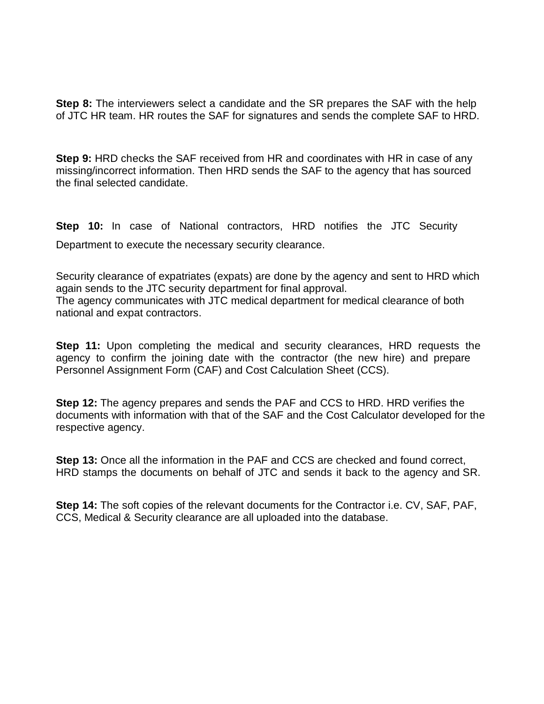**Step 8:** The interviewers select a candidate and the SR prepares the SAF with the help of JTC HR team. HR routes the SAF for signatures and sends the complete SAF to HRD.

**Step 9:** HRD checks the SAF received from HR and coordinates with HR in case of any missing/incorrect information. Then HRD sends the SAF to the agency that has sourced the final selected candidate.

**Step 10:** In case of National contractors, HRD notifies the JTC Security Department to execute the necessary security clearance.

Security clearance of expatriates (expats) are done by the agency and sent to HRD which again sends to the JTC security department for final approval. The agency communicates with JTC medical department for medical clearance of both national and expat contractors.

**Step 11:** Upon completing the medical and security clearances, HRD requests the agency to confirm the joining date with the contractor (the new hire) and prepare Personnel Assignment Form (CAF) and Cost Calculation Sheet (CCS).

**Step 12:** The agency prepares and sends the PAF and CCS to HRD. HRD verifies the documents with information with that of the SAF and the Cost Calculator developed for the respective agency.

**Step 13:** Once all the information in the PAF and CCS are checked and found correct, HRD stamps the documents on behalf of JTC and sends it back to the agency and SR.

**Step 14:** The soft copies of the relevant documents for the Contractor i.e. CV, SAF, PAF, CCS, Medical & Security clearance are all uploaded into the database.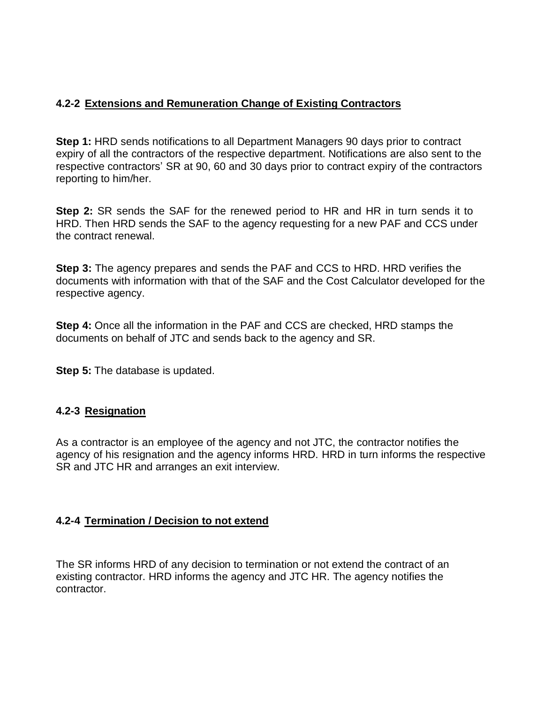#### **4.2-2 Extensions and Remuneration Change of Existing Contractors**

**Step 1:** HRD sends notifications to all Department Managers 90 days prior to contract expiry of all the contractors of the respective department. Notifications are also sent to the respective contractors" SR at 90, 60 and 30 days prior to contract expiry of the contractors reporting to him/her.

**Step 2:** SR sends the SAF for the renewed period to HR and HR in turn sends it to HRD. Then HRD sends the SAF to the agency requesting for a new PAF and CCS under the contract renewal.

**Step 3:** The agency prepares and sends the PAF and CCS to HRD. HRD verifies the documents with information with that of the SAF and the Cost Calculator developed for the respective agency.

**Step 4:** Once all the information in the PAF and CCS are checked, HRD stamps the documents on behalf of JTC and sends back to the agency and SR.

**Step 5:** The database is updated.

#### **4.2-3 Resignation**

As a contractor is an employee of the agency and not JTC, the contractor notifies the agency of his resignation and the agency informs HRD. HRD in turn informs the respective SR and JTC HR and arranges an exit interview.

#### **4.2-4 Termination / Decision to not extend**

The SR informs HRD of any decision to termination or not extend the contract of an existing contractor. HRD informs the agency and JTC HR. The agency notifies the contractor.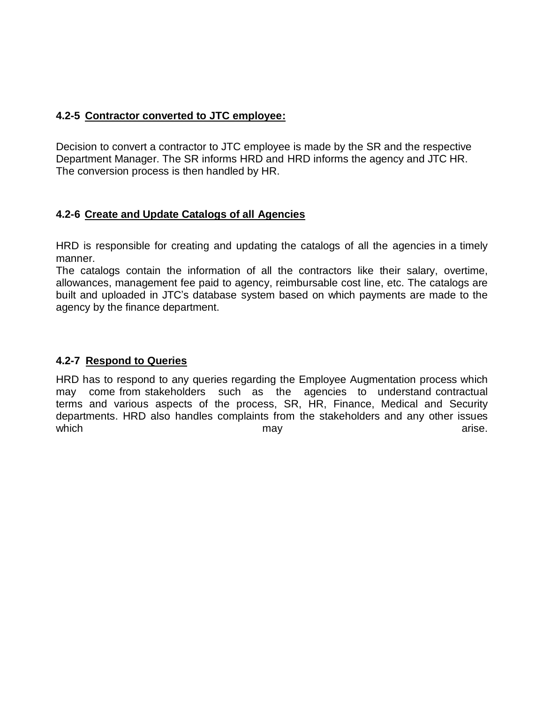#### **4.2-5 Contractor converted to JTC employee:**

Decision to convert a contractor to JTC employee is made by the SR and the respective Department Manager. The SR informs HRD and HRD informs the agency and JTC HR. The conversion process is then handled by HR.

#### **4.2-6 Create and Update Catalogs of all Agencies**

HRD is responsible for creating and updating the catalogs of all the agencies in a timely manner.

The catalogs contain the information of all the contractors like their salary, overtime, allowances, management fee paid to agency, reimbursable cost line, etc. The catalogs are built and uploaded in JTC"s database system based on which payments are made to the agency by the finance department.

#### **4.2-7 Respond to Queries**

HRD has to respond to any queries regarding the Employee Augmentation process which may come from stakeholders such as the agencies to understand contractual terms and various aspects of the process, SR, HR, Finance, Medical and Security departments. HRD also handles complaints from the stakeholders and any other issues which and the may the may be a set of the manufacture of the manufacture of the manufacture of the manufacture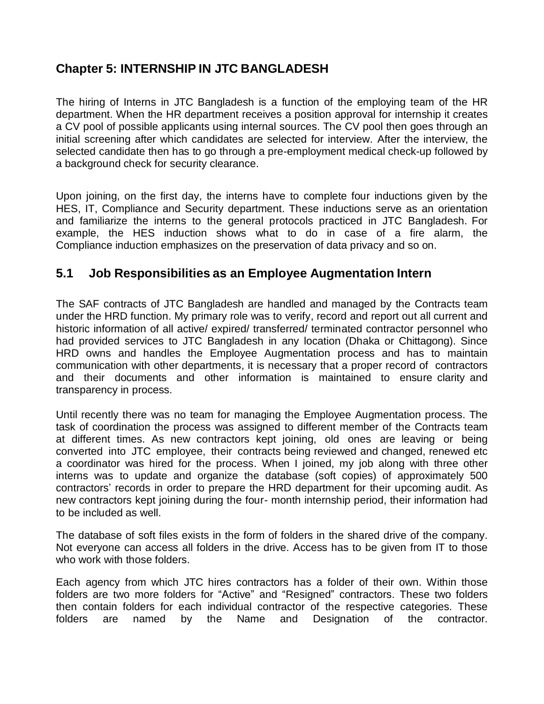### **Chapter 5: INTERNSHIP IN JTC BANGLADESH**

The hiring of Interns in JTC Bangladesh is a function of the employing team of the HR department. When the HR department receives a position approval for internship it creates a CV pool of possible applicants using internal sources. The CV pool then goes through an initial screening after which candidates are selected for interview. After the interview, the selected candidate then has to go through a pre-employment medical check-up followed by a background check for security clearance.

Upon joining, on the first day, the interns have to complete four inductions given by the HES, IT, Compliance and Security department. These inductions serve as an orientation and familiarize the interns to the general protocols practiced in JTC Bangladesh. For example, the HES induction shows what to do in case of a fire alarm, the Compliance induction emphasizes on the preservation of data privacy and so on.

### **5.1 Job Responsibilities as an Employee Augmentation Intern**

The SAF contracts of JTC Bangladesh are handled and managed by the Contracts team under the HRD function. My primary role was to verify, record and report out all current and historic information of all active/ expired/ transferred/ terminated contractor personnel who had provided services to JTC Bangladesh in any location (Dhaka or Chittagong). Since HRD owns and handles the Employee Augmentation process and has to maintain communication with other departments, it is necessary that a proper record of contractors and their documents and other information is maintained to ensure clarity and transparency in process.

Until recently there was no team for managing the Employee Augmentation process. The task of coordination the process was assigned to different member of the Contracts team at different times. As new contractors kept joining, old ones are leaving or being converted into JTC employee, their contracts being reviewed and changed, renewed etc a coordinator was hired for the process. When I joined, my job along with three other interns was to update and organize the database (soft copies) of approximately 500 contractors' records in order to prepare the HRD department for their upcoming audit. As new contractors kept joining during the four- month internship period, their information had to be included as well.

The database of soft files exists in the form of folders in the shared drive of the company. Not everyone can access all folders in the drive. Access has to be given from IT to those who work with those folders.

Each agency from which JTC hires contractors has a folder of their own. Within those folders are two more folders for "Active" and "Resigned" contractors. These two folders then contain folders for each individual contractor of the respective categories. These folders are named by the Name and Designation of the contractor.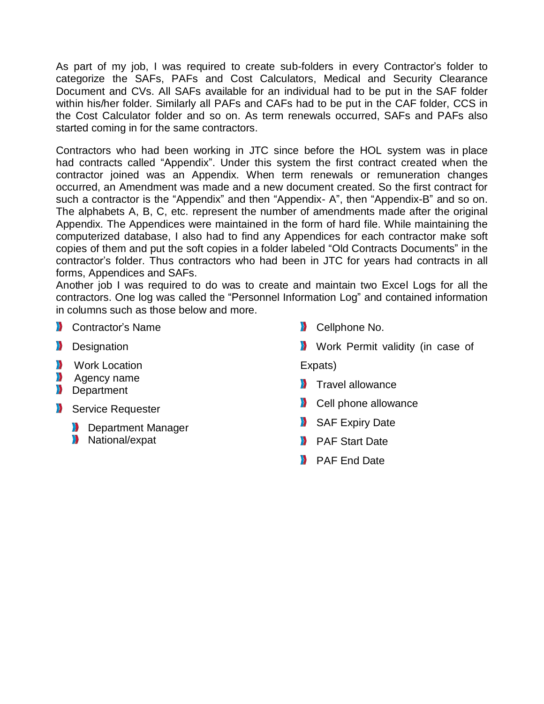As part of my job, I was required to create sub-folders in every Contractor's folder to categorize the SAFs, PAFs and Cost Calculators, Medical and Security Clearance Document and CVs. All SAFs available for an individual had to be put in the SAF folder within his/her folder. Similarly all PAFs and CAFs had to be put in the CAF folder, CCS in the Cost Calculator folder and so on. As term renewals occurred, SAFs and PAFs also started coming in for the same contractors.

Contractors who had been working in JTC since before the HOL system was in place had contracts called "Appendix". Under this system the first contract created when the contractor joined was an Appendix. When term renewals or remuneration changes occurred, an Amendment was made and a new document created. So the first contract for such a contractor is the "Appendix" and then "Appendix- A", then "Appendix-B" and so on. The alphabets A, B, C, etc. represent the number of amendments made after the original Appendix. The Appendices were maintained in the form of hard file. While maintaining the computerized database, I also had to find any Appendices for each contractor make soft copies of them and put the soft copies in a folder labeled "Old Contracts Documents" in the contractor"s folder. Thus contractors who had been in JTC for years had contracts in all forms, Appendices and SAFs.

Another job I was required to do was to create and maintain two Excel Logs for all the contractors. One log was called the "Personnel Information Log" and contained information in columns such as those below and more.

- **D** Contractor's Name
- **Designation**
- **Work Location**
- **Agency name**
- **Department**
- Service Requester
	- **Department Manager**
	- **N** National/expat
- **Cellphone No.**
- **Work Permit validity (in case of**

Expats)

- **Travel allowance**
- **D** Cell phone allowance
- SAF Expiry Date
- **PAF Start Date**
- **PAF End Date**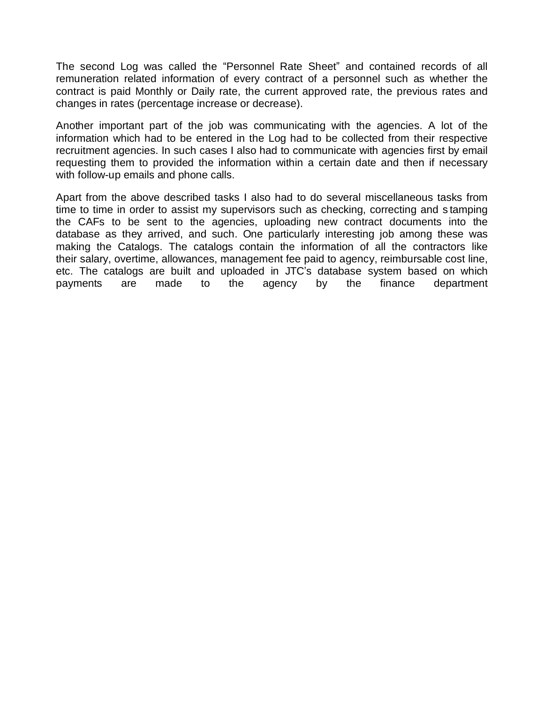The second Log was called the "Personnel Rate Sheet" and contained records of all remuneration related information of every contract of a personnel such as whether the contract is paid Monthly or Daily rate, the current approved rate, the previous rates and changes in rates (percentage increase or decrease).

Another important part of the job was communicating with the agencies. A lot of the information which had to be entered in the Log had to be collected from their respective recruitment agencies. In such cases I also had to communicate with agencies first by email requesting them to provided the information within a certain date and then if necessary with follow-up emails and phone calls.

Apart from the above described tasks I also had to do several miscellaneous tasks from time to time in order to assist my supervisors such as checking, correcting and s tamping the CAFs to be sent to the agencies, uploading new contract documents into the database as they arrived, and such. One particularly interesting job among these was making the Catalogs. The catalogs contain the information of all the contractors like their salary, overtime, allowances, management fee paid to agency, reimbursable cost line, etc. The catalogs are built and uploaded in JTC"s database system based on which payments are made to the agency by the finance department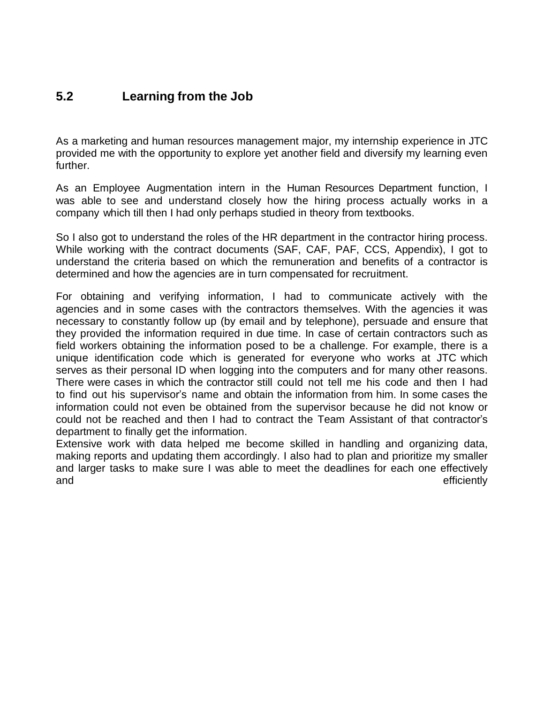### **5.2 Learning from the Job**

As a marketing and human resources management major, my internship experience in JTC provided me with the opportunity to explore yet another field and diversify my learning even further.

As an Employee Augmentation intern in the Human Resources Department function, I was able to see and understand closely how the hiring process actually works in a company which till then I had only perhaps studied in theory from textbooks.

So I also got to understand the roles of the HR department in the contractor hiring process. While working with the contract documents (SAF, CAF, PAF, CCS, Appendix), I got to understand the criteria based on which the remuneration and benefits of a contractor is determined and how the agencies are in turn compensated for recruitment.

For obtaining and verifying information, I had to communicate actively with the agencies and in some cases with the contractors themselves. With the agencies it was necessary to constantly follow up (by email and by telephone), persuade and ensure that they provided the information required in due time. In case of certain contractors such as field workers obtaining the information posed to be a challenge. For example, there is a unique identification code which is generated for everyone who works at JTC which serves as their personal ID when logging into the computers and for many other reasons. There were cases in which the contractor still could not tell me his code and then I had to find out his supervisor"s name and obtain the information from him. In some cases the information could not even be obtained from the supervisor because he did not know or could not be reached and then I had to contract the Team Assistant of that contractor"s department to finally get the information.

Extensive work with data helped me become skilled in handling and organizing data, making reports and updating them accordingly. I also had to plan and prioritize my smaller and larger tasks to make sure I was able to meet the deadlines for each one effectively and efficiently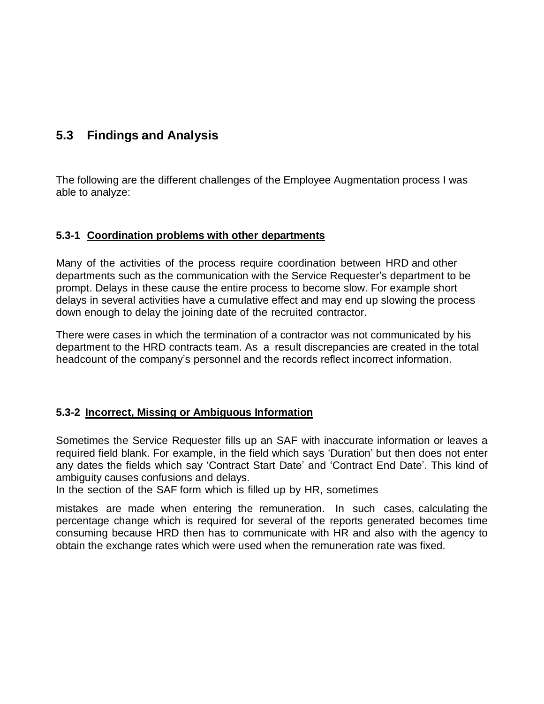### **5.3 Findings and Analysis**

The following are the different challenges of the Employee Augmentation process I was able to analyze:

#### **5.3-1 Coordination problems with other departments**

Many of the activities of the process require coordination between HRD and other departments such as the communication with the Service Requester"s department to be prompt. Delays in these cause the entire process to become slow. For example short delays in several activities have a cumulative effect and may end up slowing the process down enough to delay the joining date of the recruited contractor.

There were cases in which the termination of a contractor was not communicated by his department to the HRD contracts team. As a result discrepancies are created in the total headcount of the company"s personnel and the records reflect incorrect information.

#### **5.3-2 Incorrect, Missing or Ambiguous Information**

Sometimes the Service Requester fills up an SAF with inaccurate information or leaves a required field blank. For example, in the field which says "Duration" but then does not enter any dates the fields which say "Contract Start Date" and "Contract End Date". This kind of ambiguity causes confusions and delays.

In the section of the SAF form which is filled up by HR, sometimes

mistakes are made when entering the remuneration. In such cases, calculating the percentage change which is required for several of the reports generated becomes time consuming because HRD then has to communicate with HR and also with the agency to obtain the exchange rates which were used when the remuneration rate was fixed.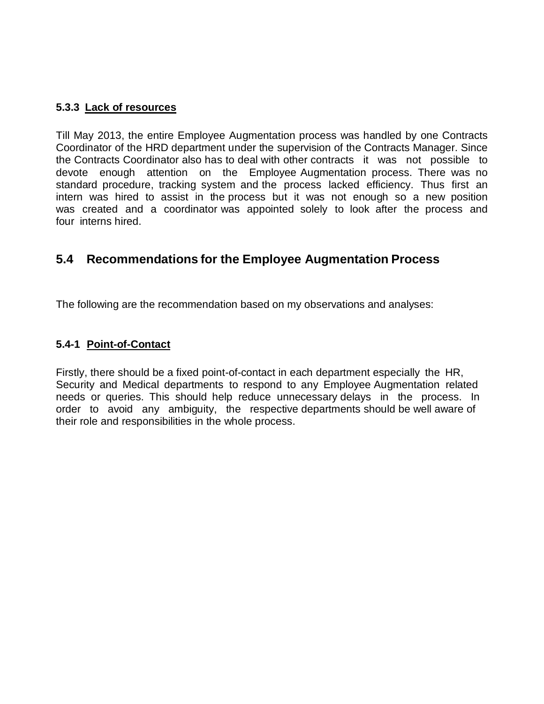#### **5.3.3 Lack of resources**

Till May 2013, the entire Employee Augmentation process was handled by one Contracts Coordinator of the HRD department under the supervision of the Contracts Manager. Since the Contracts Coordinator also has to deal with other contracts it was not possible to devote enough attention on the Employee Augmentation process. There was no standard procedure, tracking system and the process lacked efficiency. Thus first an intern was hired to assist in the process but it was not enough so a new position was created and a coordinator was appointed solely to look after the process and four interns hired.

### **5.4 Recommendations for the Employee Augmentation Process**

The following are the recommendation based on my observations and analyses:

#### **5.4-1 Point-of-Contact**

Firstly, there should be a fixed point-of-contact in each department especially the HR, Security and Medical departments to respond to any Employee Augmentation related needs or queries. This should help reduce unnecessary delays in the process. In order to avoid any ambiguity, the respective departments should be well aware of their role and responsibilities in the whole process.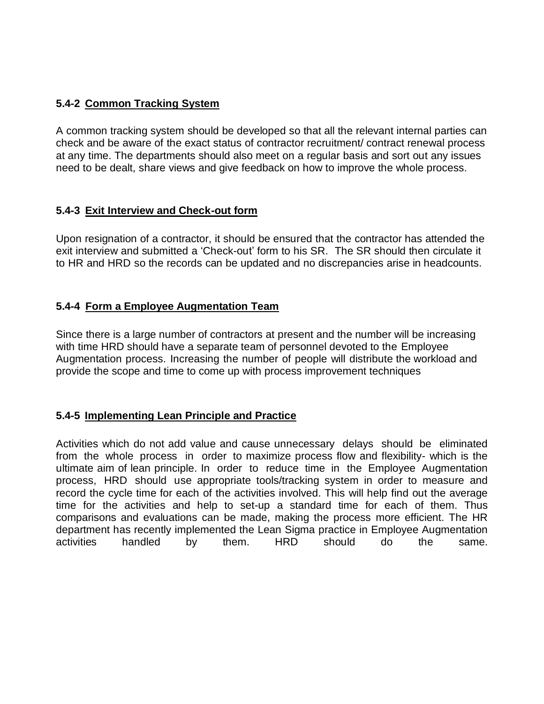#### **5.4-2 Common Tracking System**

A common tracking system should be developed so that all the relevant internal parties can check and be aware of the exact status of contractor recruitment/ contract renewal process at any time. The departments should also meet on a regular basis and sort out any issues need to be dealt, share views and give feedback on how to improve the whole process.

#### **5.4-3 Exit Interview and Check-out form**

Upon resignation of a contractor, it should be ensured that the contractor has attended the exit interview and submitted a "Check-out" form to his SR. The SR should then circulate it to HR and HRD so the records can be updated and no discrepancies arise in headcounts.

#### **5.4-4 Form a Employee Augmentation Team**

Since there is a large number of contractors at present and the number will be increasing with time HRD should have a separate team of personnel devoted to the Employee Augmentation process. Increasing the number of people will distribute the workload and provide the scope and time to come up with process improvement techniques

#### **5.4-5 Implementing Lean Principle and Practice**

Activities which do not add value and cause unnecessary delays should be eliminated from the whole process in order to maximize process flow and flexibility- which is the ultimate aim of lean principle. In order to reduce time in the Employee Augmentation process, HRD should use appropriate tools/tracking system in order to measure and record the cycle time for each of the activities involved. This will help find out the average time for the activities and help to set-up a standard time for each of them. Thus comparisons and evaluations can be made, making the process more efficient. The HR department has recently implemented the Lean Sigma practice in Employee Augmentation activities handled by them. HRD should do the same.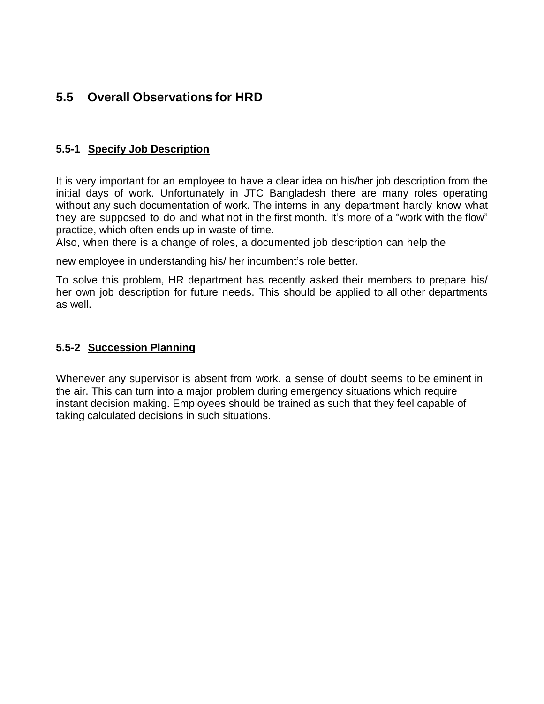### **5.5 Overall Observations for HRD**

#### **5.5-1 Specify Job Description**

It is very important for an employee to have a clear idea on his/her job description from the initial days of work. Unfortunately in JTC Bangladesh there are many roles operating without any such documentation of work. The interns in any department hardly know what they are supposed to do and what not in the first month. It's more of a "work with the flow" practice, which often ends up in waste of time.

Also, when there is a change of roles, a documented job description can help the

new employee in understanding his/ her incumbent"s role better.

To solve this problem, HR department has recently asked their members to prepare his/ her own job description for future needs. This should be applied to all other departments as well.

#### **5.5-2 Succession Planning**

Whenever any supervisor is absent from work, a sense of doubt seems to be eminent in the air. This can turn into a major problem during emergency situations which require instant decision making. Employees should be trained as such that they feel capable of taking calculated decisions in such situations.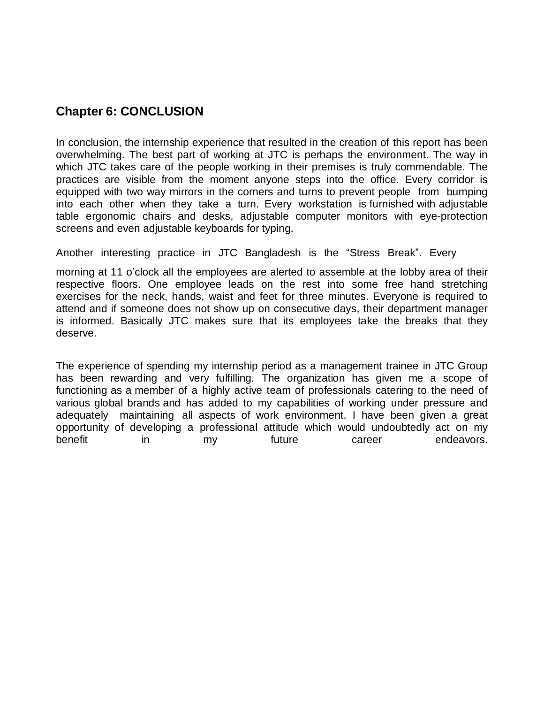### **Chapter 6: CONCLUSION**

In conclusion, the internship experience that resulted in the creation of this report has been overwhelming. The best part of working at JTC is perhaps the environment. The way in which JTC takes care of the people working in their premises is truly commendable. The practices are visible from the moment anyone steps into the office. Every corridor is equipped with two way mirrors in the corners and turns to prevent people from bumping into each other when they take a turn. Every workstation is furnished with adjustable table ergonomic chairs and desks, adjustable computer monitors with eye-protection screens and even adjustable keyboards for typing.

Another interesting practice in JTC Bangladesh is the "Stress Break". Every

morning at 11 o"clock all the employees are alerted to assemble at the lobby area of their respective floors. One employee leads on the rest into some free hand stretching exercises for the neck, hands, waist and feet for three minutes. Everyone is required to attend and if someone does not show up on consecutive days, their department manager is informed. Basically JTC makes sure that its employees take the breaks that they deserve.

The experience of spending my internship period as a management trainee in JTC Group has been rewarding and very fulfilling. The organization has given me a scope of functioning as a member of a highly active team of professionals catering to the need of various global brands and has added to my capabilities of working under pressure and adequately maintaining all aspects of work environment. I have been given a great opportunity of developing a professional attitude which would undoubtedly act on my benefit in my future career endeavors.